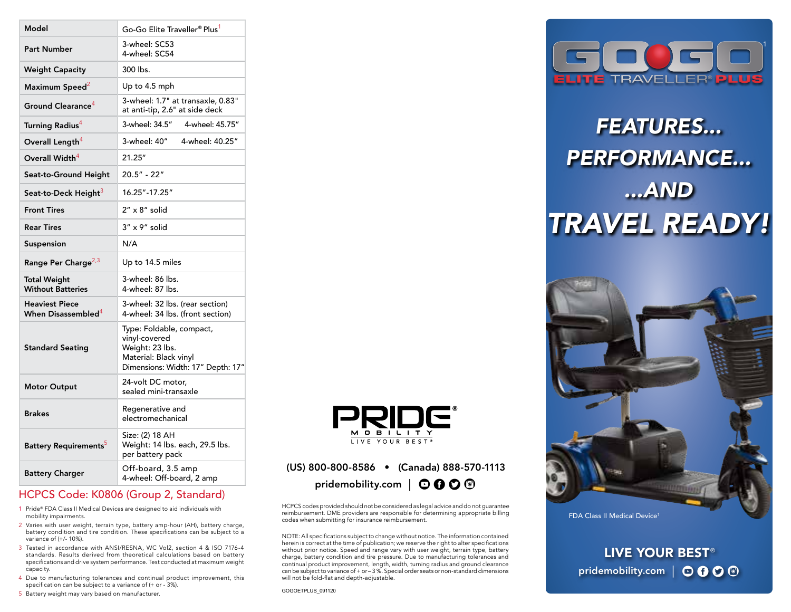| Model                                                   | Go-Go Elite Traveller® Plus <sup>1</sup>                                                                                   |
|---------------------------------------------------------|----------------------------------------------------------------------------------------------------------------------------|
| <b>Part Number</b>                                      | 3-wheel: SC53<br>4-wheel: SC54                                                                                             |
| <b>Weight Capacity</b>                                  | 300 lbs.                                                                                                                   |
| Maximum Speed <sup>2</sup>                              | Up to 4.5 mph                                                                                                              |
| Ground Clearance <sup>4</sup>                           | 3-wheel: 1.7" at transaxle, 0.83"<br>at anti-tip, 2.6" at side deck                                                        |
| <b>Turning Radius<sup>4</sup></b>                       | 3-wheel: 34.5"<br>4-wheel: 45.75"                                                                                          |
| Overall Length <sup>4</sup>                             | 3-wheel: 40"<br>4-wheel: 40.25"                                                                                            |
| Overall Width <sup>4</sup>                              | 21.25"                                                                                                                     |
| Seat-to-Ground Height                                   | 20.5" - 22"                                                                                                                |
| Seat-to-Deck Height <sup>3</sup>                        | 16.25"-17.25"                                                                                                              |
| <b>Front Tires</b>                                      | $2'' \times 8''$ solid                                                                                                     |
| <b>Rear Tires</b>                                       | 3" x 9" solid                                                                                                              |
| Suspension                                              | N/A                                                                                                                        |
| Range Per Charge <sup>2,3</sup>                         | Up to 14.5 miles                                                                                                           |
| Total Weight<br><b>Without Batteries</b>                | 3-wheel: 86 lbs.<br>4-wheel: 87 lbs.                                                                                       |
| <b>Heaviest Piece</b><br>When Disassembled <sup>4</sup> | 3-wheel: 32 lbs. (rear section)<br>4-wheel: 34 lbs. (front section)                                                        |
| <b>Standard Seating</b>                                 | Type: Foldable, compact,<br>vinyl-covered<br>Weight: 23 lbs.<br>Material: Black vinyl<br>Dimensions: Width: 17" Depth: 17" |
| <b>Motor Output</b>                                     | 24-volt DC motor,<br>sealed mini-transaxle                                                                                 |
| <b>Brakes</b>                                           | Regenerative and<br>electromechanical                                                                                      |
| <b>Battery Requirements</b> <sup>5</sup>                | Size: (2) 18 AH<br>Weight: 14 lbs. each, 29.5 lbs.<br>per battery pack                                                     |
| <b>Battery Charger</b>                                  | Off-board, 3.5 amp<br>4-wheel: Off-board, 2 amp                                                                            |

### HCPCS Code: K0806 (Group 2, Standard)

- 1 Pride® FDA Class II Medical Devices are designed to aid individuals with mobility impairments.
- 2 Varies with user weight, terrain type, battery amp-hour (AH), battery charge, battery condition and tire condition. These specifications can be subject to a variance of (+/- 10%).
- 3 Tested in accordance with ANSI/RESNA, WC Vol2, section 4 & ISO 7176-4 standards. Results derived from theoretical calculations based on battery specifications and drive system performance. Test conducted at maximum weight capacity.
- 4 Due to manufacturing tolerances and continual product improvement, this specification can be subject to a variance of (+ or - 3%).

5 Battery weight may vary based on manufacturer.



## (US) 800-800-8586 • (Canada) 888-570-1113 pridemobility.com |  $\odot$  0  $\odot$  <sup>6</sup>

HCPCS codes provided should not be considered as legal advice and do not guarantee reimbursement. DME providers are responsible for determining appropriate billing codes when submitting for insurance reimbursement.

NOTE: All specifications subject to change without notice. The information contained herein is correct at the time of publication; we reserve the right to alter specifications without prior notice. Speed and range vary with user weight, terrain type, battery charge, battery condition and tire pressure. Due to manufacturing tolerances and continual product improvement, length, width, turning radius and ground clearance can be subject to variance of + or – 3 %. Special order seats or non-standard dimensions will not be fold-flat and depth-adjustable.



# *FEATURES... PERFORMANCE... ...AND TRAVEL READY!*



FDA Class II Medical Device<sup>1</sup>

LIVE YOUR BEST<sup>®</sup> pridemobility.com | **000**